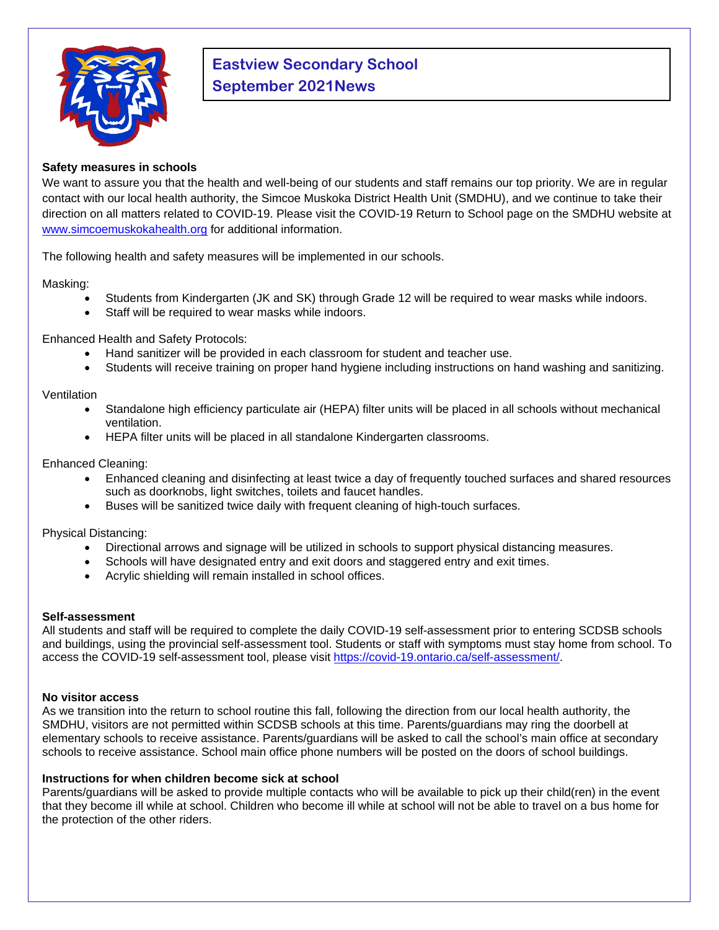

# **Eastview Secondary School September 2021News**

# **Safety measures in schools**

We want to assure you that the health and well-being of our students and staff remains our top priority. We are in regular contact with our local health authority, the Simcoe Muskoka District Health Unit (SMDHU), and we continue to take their direction on all matters related to COVID-19. Please visit the COVID-19 Return to School page on the SMDHU website at [www.simcoemuskokahealth.org](http://www.simcoemuskokahealth.org/) for additional information.

The following health and safety measures will be implemented in our schools.

Masking:

- Students from Kindergarten (JK and SK) through Grade 12 will be required to wear masks while indoors.
- Staff will be required to wear masks while indoors.

Enhanced Health and Safety Protocols:

- Hand sanitizer will be provided in each classroom for student and teacher use.
- Students will receive training on proper hand hygiene including instructions on hand washing and sanitizing.

## Ventilation

- Standalone high efficiency particulate air (HEPA) filter units will be placed in all schools without mechanical ventilation.
- HEPA filter units will be placed in all standalone Kindergarten classrooms.

Enhanced Cleaning:

- Enhanced cleaning and disinfecting at least twice a day of frequently touched surfaces and shared resources such as doorknobs, light switches, toilets and faucet handles.
- Buses will be sanitized twice daily with frequent cleaning of high-touch surfaces.

Physical Distancing:

- Directional arrows and signage will be utilized in schools to support physical distancing measures.
- Schools will have designated entry and exit doors and staggered entry and exit times.
- Acrylic shielding will remain installed in school offices.

#### **Self-assessment**

All students and staff will be required to complete the daily COVID-19 self-assessment prior to entering SCDSB schools and buildings, using the provincial self-assessment tool. Students or staff with symptoms must stay home from school. To access the COVID-19 self-assessment tool, please visit [https://covid-19.ontario.ca/self-assessment/.](https://covid-19.ontario.ca/self-assessment/)

#### **No visitor access**

As we transition into the return to school routine this fall, following the direction from our local health authority, the SMDHU, visitors are not permitted within SCDSB schools at this time. Parents/guardians may ring the doorbell at elementary schools to receive assistance. Parents/guardians will be asked to call the school's main office at secondary schools to receive assistance. School main office phone numbers will be posted on the doors of school buildings.

# **Instructions for when children become sick at school**

Parents/guardians will be asked to provide multiple contacts who will be available to pick up their child(ren) in the event that they become ill while at school. Children who become ill while at school will not be able to travel on a bus home for the protection of the other riders.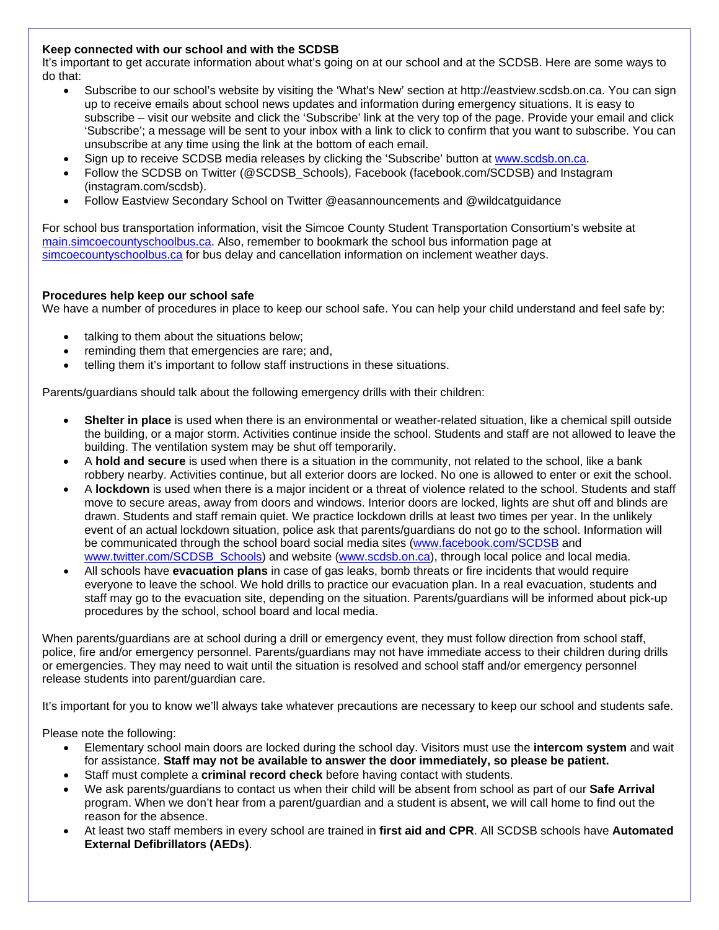# **Keep connected with our school and with the SCDSB**

It's important to get accurate information about what's going on at our school and at the SCDSB. Here are some ways to do that:

- Subscribe to our school's website by visiting the 'What's New' section at http://eastview.scdsb.on.ca. You can sign up to receive emails about school news updates and information during emergency situations. It is easy to subscribe – visit our website and click the 'Subscribe' link at the very top of the page. Provide your email and click 'Subscribe'; a message will be sent to your inbox with a link to click to confirm that you want to subscribe. You can unsubscribe at any time using the link at the bottom of each email.
- Sign up to receive SCDSB media releases by clicking the 'Subscribe' button at [www.scdsb.on.ca.](http://www.scdsb.on.ca/)
- Follow the SCDSB on Twitter (@SCDSB\_Schools), Facebook (facebook.com/SCDSB) and Instagram (instagram.com/scdsb).
- Follow Eastview Secondary School on Twitter @easannouncements and @wildcatguidance

For school bus transportation information, visit the Simcoe County Student Transportation Consortium's website at [main.simcoecountyschoolbus.ca.](http://www.main.simcoecountyschoolbus.ca/) Also, remember to bookmark the school bus information page at [simcoecountyschoolbus.ca](http://www.simcoecountyschoolbus.ca/) for bus delay and cancellation information on inclement weather days.

#### **Procedures help keep our school safe**

We have a number of procedures in place to keep our school safe. You can help your child understand and feel safe by:

- talking to them about the situations below;
- reminding them that emergencies are rare; and,
- telling them it's important to follow staff instructions in these situations.

Parents/guardians should talk about the following emergency drills with their children:

- **Shelter in place** is used when there is an environmental or weather-related situation, like a chemical spill outside the building, or a major storm. Activities continue inside the school. Students and staff are not allowed to leave the building. The ventilation system may be shut off temporarily.
- A **hold and secure** is used when there is a situation in the community, not related to the school, like a bank robbery nearby. Activities continue, but all exterior doors are locked. No one is allowed to enter or exit the school.
- A **lockdown** is used when there is a major incident or a threat of violence related to the school. Students and staff move to secure areas, away from doors and windows. Interior doors are locked, lights are shut off and blinds are drawn. Students and staff remain quiet. We practice lockdown drills at least two times per year. In the unlikely event of an actual lockdown situation, police ask that parents/guardians do not go to the school. Information will be communicated through the school board social media sites [\(www.facebook.com/SCDSB](http://www.facebook.com/SCDSB) and [www.twitter.com/SCDSB\\_Schools\)](http://www.twitter.com/SCDSB_Schools) and website [\(www.scdsb.on.ca\)](http://www.scdsb.on.ca/), through local police and local media.
- All schools have **evacuation plans** in case of gas leaks, bomb threats or fire incidents that would require everyone to leave the school. We hold drills to practice our evacuation plan. In a real evacuation, students and staff may go to the evacuation site, depending on the situation. Parents/guardians will be informed about pick-up procedures by the school, school board and local media.

When parents/guardians are at school during a drill or emergency event, they must follow direction from school staff, police, fire and/or emergency personnel. Parents/guardians may not have immediate access to their children during drills or emergencies. They may need to wait until the situation is resolved and school staff and/or emergency personnel release students into parent/guardian care.

It's important for you to know we'll always take whatever precautions are necessary to keep our school and students safe.

Please note the following:

- Elementary school main doors are locked during the school day. Visitors must use the **intercom system** and wait for assistance. **Staff may not be available to answer the door immediately, so please be patient.**
- Staff must complete a **criminal record check** before having contact with students.
- We ask parents/guardians to contact us when their child will be absent from school as part of our **Safe Arrival**  program. When we don't hear from a parent/guardian and a student is absent, we will call home to find out the reason for the absence.
- At least two staff members in every school are trained in **first aid and CPR**. All SCDSB schools have **Automated External Defibrillators (AEDs)**.